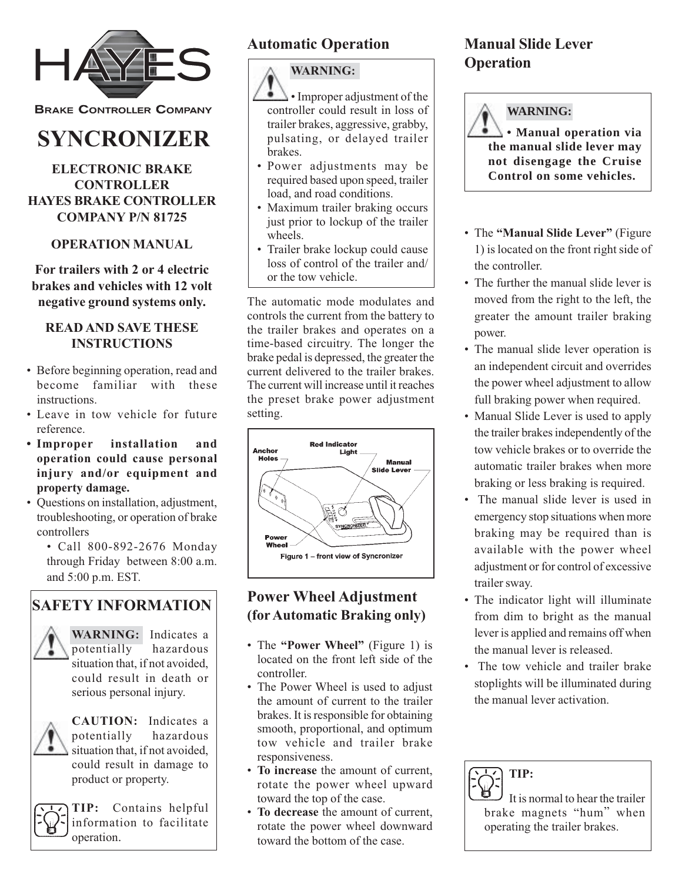

**BRAKE CONTROLLER COMPANY** 

# **SYNCRONIZER**

## **ELECTRONIC BRAKE CONTROLLER HAYES BRAKE CONTROLLER COMPANY P/N 81725**

# **OPERATION MANUAL**

**For trailers with 2 or 4 electric brakes and vehicles with 12 volt negative ground systems only.**

### **READ AND SAVE THESE INSTRUCTIONS**

- Before beginning operation, read and become familiar with these instructions.
- Leave in tow vehicle for future reference.
- **Improper installation and operation could cause personal injury and/or equipment and property damage.**
- Questions on installation, adjustment, troubleshooting, or operation of brake controllers
	- Call 800-892-2676 Monday through Friday between 8:00 a.m. and 5:00 p.m. EST.

# **SAFETY INFORMATION**



**WARNING:** Indicates a potentially hazardous situation that, if not avoided. could result in death or serious personal injury.



**CAUTION:** Indicates a potentially hazardous situation that, if not avoided, could result in damage to product or property.



**TIP:** Contains helpful information to facilitate operation.

# **Automatic Operation**

# **WARNING:**

• Improper adjustment of the controller could result in loss of trailer brakes, aggressive, grabby, pulsating, or delayed trailer brakes.

- Power adjustments may be required based upon speed, trailer load, and road conditions.
- Maximum trailer braking occurs just prior to lockup of the trailer wheels.
- Trailer brake lockup could cause loss of control of the trailer and/ or the tow vehicle.

The automatic mode modulates and controls the current from the battery to the trailer brakes and operates on a time-based circuitry. The longer the brake pedal is depressed, the greater the current delivered to the trailer brakes. The current will increase until it reaches the preset brake power adjustment setting.



# **Power Wheel Adjustment (for Automatic Braking only)**

- The **"Power Wheel"** (Figure 1) is located on the front left side of the controller.
- The Power Wheel is used to adjust the amount of current to the trailer brakes. It is responsible for obtaining smooth, proportional, and optimum tow vehicle and trailer brake responsiveness.
- **To increase** the amount of current, rotate the power wheel upward toward the top of the case.
- **To decrease** the amount of current, rotate the power wheel downward toward the bottom of the case.

# **Manual Slide Lever Operation**



**• Manual operation via the manual slide lever may not disengage the Cruise Control on some vehicles.**

- The **"Manual Slide Lever"** (Figure 1) is located on the front right side of the controller.
- The further the manual slide lever is moved from the right to the left, the greater the amount trailer braking power.
- The manual slide lever operation is an independent circuit and overrides the power wheel adjustment to allow full braking power when required.
- Manual Slide Lever is used to apply the trailer brakes independently of the tow vehicle brakes or to override the automatic trailer brakes when more braking or less braking is required.
- The manual slide lever is used in emergency stop situations when more braking may be required than is available with the power wheel adjustment or for control of excessive trailer sway.
- The indicator light will illuminate from dim to bright as the manual lever is applied and remains off when the manual lever is released.
- The tow vehicle and trailer brake stoplights will be illuminated during the manual lever activation.



It is normal to hear the trailer brake magnets "hum" when operating the trailer brakes.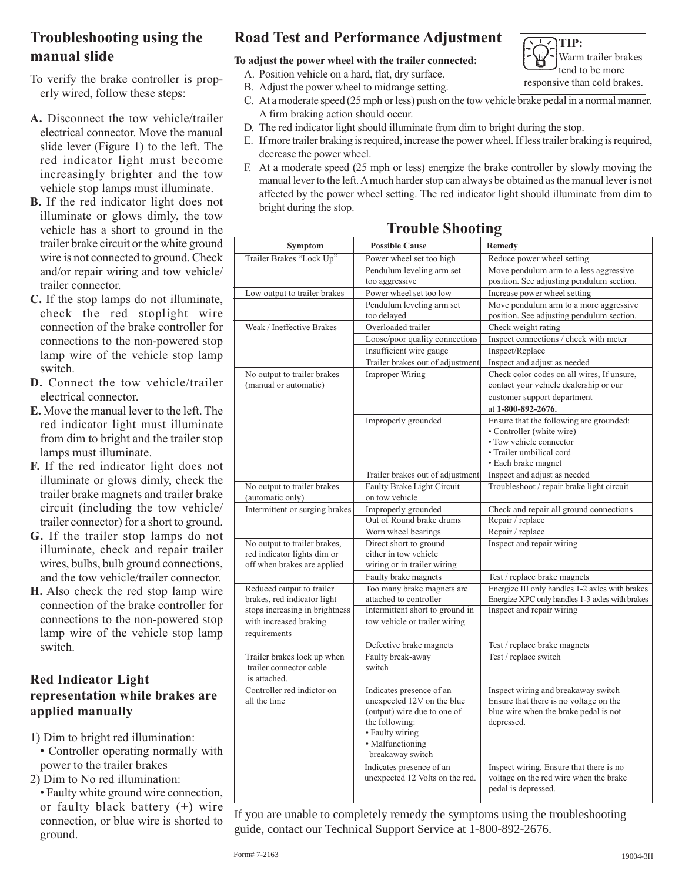# **Troubleshooting using the manual slide**

To verify the brake controller is properly wired, follow these steps:

- **A.** Disconnect the tow vehicle/trailer electrical connector. Move the manual slide lever (Figure 1) to the left. The red indicator light must become increasingly brighter and the tow vehicle stop lamps must illuminate.
- **B.** If the red indicator light does not illuminate or glows dimly, the tow vehicle has a short to ground in the trailer brake circuit or the white ground wire is not connected to ground. Check and/or repair wiring and tow vehicle/ trailer connector.
- **C.** If the stop lamps do not illuminate, check the red stoplight wire connection of the brake controller for connections to the non-powered stop lamp wire of the vehicle stop lamp switch.
- **D.** Connect the tow vehicle/trailer electrical connector.
- **E.** Move the manual lever to the left. The red indicator light must illuminate from dim to bright and the trailer stop lamps must illuminate.
- **F.** If the red indicator light does not illuminate or glows dimly, check the trailer brake magnets and trailer brake circuit (including the tow vehicle/ trailer connector) for a short to ground.
- **G.** If the trailer stop lamps do not illuminate, check and repair trailer wires, bulbs, bulb ground connections, and the tow vehicle/trailer connector.
- **H.** Also check the red stop lamp wire connection of the brake controller for connections to the non-powered stop lamp wire of the vehicle stop lamp switch.

### **Red Indicator Light representation while brakes are applied manually**

- 1) Dim to bright red illumination: • Controller operating normally with power to the trailer brakes
- 2) Dim to No red illumination:
- Faulty white ground wire connection, or faulty black battery (**+**) wire connection, or blue wire is shorted to ground.

# **Road Test and Performance Adjustment**

#### **To adjust the power wheel with the trailer connected:**

- A. Position vehicle on a hard, flat, dry surface.
- B. Adjust the power wheel to midrange setting.
- C. At a moderate speed (25 mph or less) push on the tow vehicle brake pedal in a normal manner. A firm braking action should occur.
- D. The red indicator light should illuminate from dim to bright during the stop.
- E. If more trailer braking is required, increase the power wheel. If less trailer braking is required, decrease the power wheel.
- F. At a moderate speed (25 mph or less) energize the brake controller by slowly moving the manual lever to the left. A much harder stop can always be obtained as the manual lever is not affected by the power wheel setting. The red indicator light should illuminate from dim to bright during the stop.

# **Trouble Shooting**

| Symptom                                 | <b>Possible Cause</b>                                     | Remedy                                                                        |
|-----------------------------------------|-----------------------------------------------------------|-------------------------------------------------------------------------------|
| Trailer Brakes "Lock Up"                | Power wheel set too high                                  | Reduce power wheel setting                                                    |
|                                         | Pendulum leveling arm set                                 | Move pendulum arm to a less aggressive                                        |
|                                         | too aggressive                                            | position. See adjusting pendulum section.                                     |
| Low output to trailer brakes            | Power wheel set too low                                   | Increase power wheel setting                                                  |
|                                         | Pendulum leveling arm set                                 | Move pendulum arm to a more aggressive                                        |
| Weak / Ineffective Brakes               | too delayed<br>Overloaded trailer                         | position. See adjusting pendulum section.                                     |
|                                         |                                                           | Check weight rating<br>Inspect connections / check with meter                 |
|                                         | Loose/poor quality connections<br>Insufficient wire gauge |                                                                               |
|                                         |                                                           | Inspect/Replace                                                               |
|                                         | Trailer brakes out of adjustment                          | Inspect and adjust as needed                                                  |
| No output to trailer brakes             | <b>Improper Wiring</b>                                    | Check color codes on all wires, If unsure,                                    |
| (manual or automatic)                   |                                                           | contact your vehicle dealership or our                                        |
|                                         |                                                           | customer support department                                                   |
|                                         |                                                           | at 1-800-892-2676.                                                            |
|                                         | Improperly grounded                                       | Ensure that the following are grounded:<br>• Controller (white wire)          |
|                                         |                                                           | • Tow vehicle connector                                                       |
|                                         |                                                           | • Trailer umbilical cord                                                      |
|                                         |                                                           | • Each brake magnet                                                           |
|                                         | Trailer brakes out of adjustment                          | Inspect and adjust as needed                                                  |
| No output to trailer brakes             | Faulty Brake Light Circuit                                | Troubleshoot / repair brake light circuit                                     |
| (automatic only)                        | on tow vehicle                                            |                                                                               |
| Intermittent or surging brakes          | Improperly grounded                                       | Check and repair all ground connections                                       |
|                                         | Out of Round brake drums                                  | Repair / replace                                                              |
|                                         | Worn wheel bearings                                       | Repair / replace                                                              |
| No output to trailer brakes,            | Direct short to ground                                    | Inspect and repair wiring                                                     |
| red indicator lights dim or             | either in tow vehicle                                     |                                                                               |
| off when brakes are applied             | wiring or in trailer wiring                               |                                                                               |
|                                         | Faulty brake magnets                                      | Test / replace brake magnets                                                  |
| Reduced output to trailer               | Too many brake magnets are                                | Energize III only handles 1-2 axles with brakes                               |
| brakes, red indicator light             | attached to controller                                    | Energize XPC only handles 1-3 axles with brakes                               |
| stops increasing in brightness          | Intermittent short to ground in                           | Inspect and repair wiring                                                     |
| with increased braking                  | tow vehicle or trailer wiring                             |                                                                               |
| requirements                            |                                                           |                                                                               |
|                                         | Defective brake magnets                                   | Test / replace brake magnets                                                  |
| Trailer brakes lock up when             | Faulty break-away                                         | Test / replace switch                                                         |
| trailer connector cable<br>is attached. | switch                                                    |                                                                               |
| Controller red indictor on              |                                                           |                                                                               |
| all the time                            | Indicates presence of an<br>unexpected 12V on the blue    | Inspect wiring and breakaway switch<br>Ensure that there is no voltage on the |
|                                         | (output) wire due to one of                               | blue wire when the brake pedal is not                                         |
|                                         | the following:                                            | depressed.                                                                    |
|                                         | • Faulty wiring                                           |                                                                               |
|                                         | • Malfunctioning                                          |                                                                               |
|                                         | breakaway switch                                          |                                                                               |
|                                         | Indicates presence of an                                  | Inspect wiring. Ensure that there is no                                       |
|                                         | unexpected 12 Volts on the red.                           | voltage on the red wire when the brake                                        |
|                                         |                                                           | pedal is depressed.                                                           |
|                                         |                                                           |                                                                               |

If you are unable to completely remedy the symptoms using the troubleshooting guide, contact our Technical Support Service at 1-800-892-2676.

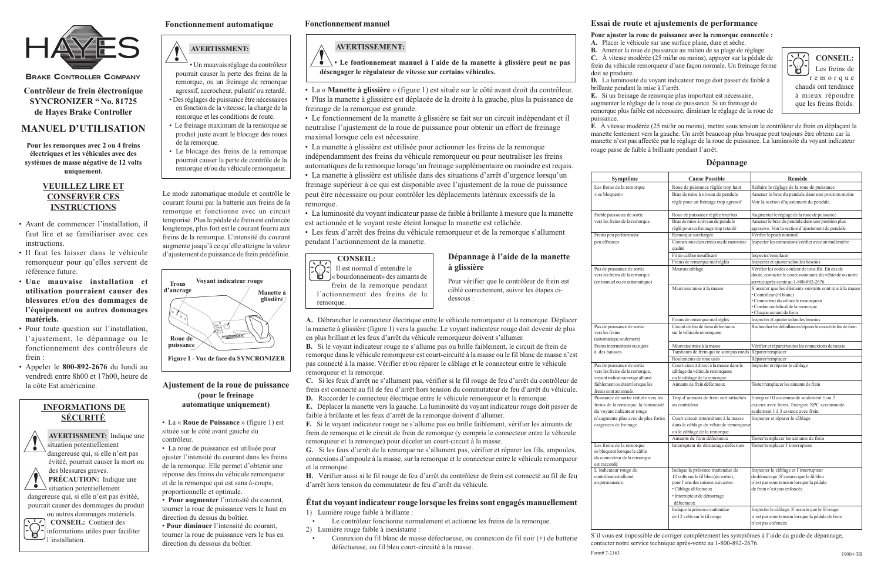## $\sqrt{\phantom{a}}$ **AVERTISSMENT:**

• Un mauvais réglage du contrôleur pourrait causer la perte des freins de la remorque, ou un freinage de remorque agressif, accrocheur, pulsatif ou retardé. • Des réglages de puissance être nécessaires en fonction de la viteesse, la charge de la remorque et les conditions de route.

- Le freinage maximum de la remorque se produit juste avant le blocage des roues de la remorque.
- Le blocage des freins de la remorque pourrait causer la perte de contrôle de la remorque et/ou du véhicule remorqueur.



**BRAKE CONTROLLER COMPANY** 

**Contrôleur de frein électronique SYNCRONIZER " No. 81725 de Hayes Brake Controller**

# **MANUEL D'UTILISATION**

**Pour les remorques avec 2 ou 4 freins électriques et les véhicules avec des systèmes de masse négative de 12 volts uniquement.**

des blessures graves. **PRÉCAUTION:** Indique une  $\bullet$  situation potentiellement

#### **VEUILLEZ LIRE ET CONSERVER CES INSTRUCTIONS**

- Avant de commencer l'installation, il faut lire et se familiariser avec ces instructions.
- Il faut les laisser dans le véhicule remorqueur pour qu'elles servent de référence future.
- **Une mauvaise installation et utilisation pourraient causer des blessures et/ou des dommages de l'équipement ou autres dommages matériels.**
- Pour toute question sur l'installation, l'ajustement, le dépannage ou le fonctionnement des contrôleurs de frein :
- Appeler le **800-892-2676** du lundi au vendredi entre 8h00 et 17h00, heure de la côte Est américaine.

# **INFORMATIONS DE SÉCURITÉ**



見

dangereuse qui, si elle n'est pas évitéé, pourrait causer des dommages du produit ou autres dommages matériels.

 **CONSEIL:** Contient des informations utiles pour faciliter l´installation.

#### **CONSEIL:** Il est normal d´entendre le « bourdonnement» des aimants de

remorque.

Le mode automatique module et contrôle le courant fourni par la batterie aux freins de la remorque et fonctionne avec un circuit temporisé. Plus la pédale de frein est enfoncée longtemps, plus fort est le courant fourni aux freins de la remorque. L'intensité du courant augmente jusqu'à ce qu'elle atteigne la valeur d'ajustement de puissance de frein prédéfinie.

# **Fonctionnement automatique**

- La « **Manette à glissière** » (figure 1) est située sur le côté avant droit du contrôleur.
- Plus la manette à glissière est déplacée de la droite à la gauche, plus la puissance de freinage de la remorque est grande.

• Le fonctionnement de la manette à glissière se fait sur un circuit indépendant et il neutralise l'ajustement de la roue de puissance pour obtenir un effort de freinage maximal lorsque cela est nécessaire.

• La manette à glissière est utilisée pour actionner les freins de la remorque indépendamment des freins du véhicule remorqueur ou pour neutraliser les freins automatiques de la remorque lorsqu'un freinage supplémentaire ou moindre est requis.

• La manette à glissière est utilisée dans des situations d'arrêt d'urgence lorsqu'un freinage supérieur à ce qui est disponible avec l'ajustement de la roue de puissance peut être nécessaire ou pour contrôler les déplacements latéraux excessifs de la remorque.

• La luminosité du voyant indicateur passe de faible à brillante à mesure que la manette est actionnée et le voyant reste éteint lorsque la manette est relâchée.

• Les feux d'arrêt des freins du véhicule remorqueur et de la remorque s'allument pendant l'actionnement de la manette.

# **Ajustement de la roue de puissance (pour le freinage**

**automatique uniquement)**

• La « **Roue de Puissance** » (figure 1) est située sur le côté avant gauche du contrôleur.

• La roue de puissance est utilisée pour ajuster l'intensité du courant dans les freins de la remorque. Elle permet d'obtenir une réponse des freins du véhicule remorqueur et de la remorque qui est sans à-coups, proportionnelle et optimale.

 $\ddot{\bullet}$ **• Le fontionnement manuel à l´aide de la manette à glissière peut ne pas désengager le régulateur de vitesse sur certains véhicules.**

• **Pour augmenter** l'intensité du courant, tourner la roue de puissance vers le haut en direction du dessus du boîtier.

• **Pour diminuer** l'intensité du courant, tourner la roue de puissance vers le bas en direction du dessous du boîtier.

**A.** Débrancher le connecteur électrique entre le véhicule remorqueur et la remorque. Déplacer la manette à glissière (figure 1) vers la gauche. Le voyant indicateur rouge doit devenir de plus en plus brillant et les feux d'arrêt du véhicule remorqueur doivent s'allumer.

**B.** Si le voyant indicateur rouge ne s'allume pas ou brille faiblement, le circuit de frein de remorque dans le véhicule remorqueur est court-circuité à la masse ou le fil blanc de masse n'est pas connecté à la masse. Vérifier et/ou réparer le câblage et le connecteur entre le véhicule remorqueur et la remorque.

frein de la remorque pendant l´actionnement des freins de la Pour vérifier que le contrôleur de frein est câblé correctement, suivre les étapes cidessous :

**C.** Si les feux d'arrêt ne s'allument pas, vérifier si le fil rouge de feu d'arrêt du contrôleur de frein est connecté au fil de feu d'arrêt hors tension du commutateur de feu d'arrêt du véhicule. **D.** Raccorder le connecteur électrique entre le véhicule remorqueur et la remorque.

**E.** Déplacer la manette vers la gauche. La luminosité du voyant indicateur rouge doit passer de faible à brillante et les feux d'arrêt de la remorque doivent d'allumer.

**F.** Si le voyant indicateur rouge ne s'allume pas ou brille faiblement, vérifier les aimants de frein de remorque et le circuit de frein de remorque (y compris le connecteur entre le véhicule remorqueur et la remorque) pour déceler un court-circuit à la masse.

**G.** Si les feux d'arrêt de la remorque ne s'allument pas, vérifier et réparer les fils, ampoules, connexions d'ampoule à la masse, sur la remorque et le connecteur entre le véhicule remorqueur et la remorque.

**H.** Vérifier aussi si le fil rouge de feu d'arrêt du contrôleur de frein est connecté au fil de feu d'arrêt hors tension du commutateur de feu d'arrêt du véhicule.

**État du voyant indicateur rouge lorsque les freins sont engagés manuellement** 1) Lumière rouge faible à brillante :

•Le contrôleur fonctionne normalement et actionne les freins de la remorque.

2) Lumière rouge faible à inexistante :

• Connexion du fil blanc de masse défectueuse, ou connexion de fil noir (+) de batterie défectueuse, ou fil bleu court-circuité à la masse.

# **Essai de route et ajustements de performance**

**Pour ajuster la roue de puissance avec la remorque connectée : A.** Placer le véhicule sur une surface plane, dure et sèche. **B.** Amener la roue de puissance au milieu de sa plage de réglage. **C.** À vitesse modérée (25 mi/hr ou moins), appuyer sur la pédale de frein du véhicule remorqueur d'une façon normale. Un freinage ferme

# doit se produire.

**D.** La luminosité du voyant indicateur rouge doit passer de faible à

**E.** Si un freinage de remorque plus important est nécessaire,

brillante pendant la mise à l'arrêt. puissance.

augmenter le réglage de la roue de puissance. Si un freinage de remorque plus faible est nécessaire, diminuer le réglage de la roue de

**F.** À vitesse modérée (25 mi/hr ou moins), mettre sous tension le contrôleur de frein en déplaçant la manette lentement vers la gauche. Un arrêt beaucoup plus brusque peut toujours être obtenu car la manette n'est pas affectée par le réglage de la roue de puissance. La luminosité du voyant indicateur rouge passe de faible à brillante pendant l'arrêt.

#### **Symptôme**

Pas de puissance de sortie vers les freins (automatique seulement) Freins intermittents ou sujets à des hausses

Pas de puissance de sortie vers les freins de la remorque voyant indicateur rouge allu faiblement ou éteint lorsque freins sont actionnés. Puissance de sortie rèduite freins de la remorque, la lu du voyant indicateur rouge

Les freins de la remorque se bloquent lorsque le câble du connecteur de la remorque est raccordé L'indicateur rouge du contrôleur est allumé

| Dépannage |
|-----------|
|-----------|

**Dépannage à l'aide de la manette**

**à glissière**





**Figure 1 - Vue de face du SYNCRONIZER**

S´il vous est impossible de corriger complètement les symptômes à l'aide du guide de dépannage, contacter notre service technique après-vente au 1-800-892-2676. Form# 7-2163

# **Fonctionnement manuel**

# **AVERTISSEMENT:**

| Symptôme                                                                                  | <b>Cause Possible</b>                                                      | Remède                                                                                                         |
|-------------------------------------------------------------------------------------------|----------------------------------------------------------------------------|----------------------------------------------------------------------------------------------------------------|
| Les freins de la remorque                                                                 | Roue de puissance réglée trop haut                                         | Réduire le réglage de la roue de puissance                                                                     |
| « se bloquent»                                                                            | Bras de mise à niveau de pendule                                           | Amener le bras du pendule dans une position moins                                                              |
|                                                                                           | réglé pour un freinage trop agressif                                       | Voir la section d'ajustement du pendule.                                                                       |
| Faible puissance de sortie                                                                | Roue de puissance réglée trop bas                                          | Augmenter le réglage de la roue de puissance                                                                   |
| vers les freins de la remorque                                                            | Bras de mise à niveau de pendule                                           | Amener le bras du pendule dans une position plus                                                               |
|                                                                                           | réglé pour un freinage trop retardé                                        | agressive. Voir la section d'ajustement du pendule.                                                            |
| Freins peu performants/                                                                   | Remorque surchargée                                                        | Vérifier le poids nominal                                                                                      |
| peu efficaces                                                                             | Connexions desserrées ou de mauvaise                                       | Inspecter les connexions/vérifier avec un multimètre                                                           |
|                                                                                           | qualité                                                                    |                                                                                                                |
|                                                                                           | Fil de calibre insuffisant                                                 | Inspecter/remplacer                                                                                            |
|                                                                                           | Freins de remorque mal réglés                                              | Inspecter et ajuster selon les besoins                                                                         |
| Pas de puissance de sortie<br>vers les freins de la remorque                              | Mauvais câblage                                                            | Vérifier les codes couleur de tous fils. En cas de<br>doute, contacter le concessionnaire du véhicule ou notre |
| (en manuel ou en automatique)                                                             |                                                                            | service après-vente au 1-800-892-2676.                                                                         |
|                                                                                           | Mauvaise mise à la masse                                                   | S'assurer que les éléments suivants sont mis à la masse:                                                       |
|                                                                                           |                                                                            | • Contrôleur (fil blanc)<br>• Connecteur du véhicule remorqueur                                                |
|                                                                                           |                                                                            | • Cordon ombilical de la remorque                                                                              |
|                                                                                           |                                                                            | Chaque aimant de frein                                                                                         |
|                                                                                           | Freins de remorque mal réglés                                              | Inspecter et ajuster selon les besoins                                                                         |
| Pas de puissance de sortie                                                                | Circuit de feu de frein défectueux                                         | Rechercher les défaillances/réparer le circuit de feu de frein                                                 |
| vers les freins                                                                           | sur le véhicule remorqueur                                                 |                                                                                                                |
| (automatique seulement)                                                                   |                                                                            |                                                                                                                |
| Freins intermittents ou sujets                                                            | Mauvaise mise à la masse                                                   | Vérifier et réparer toutes les connexions de masse                                                             |
| à des hausses                                                                             | Tambours de frein qui ne sont pas ronds                                    | Réparer/remplacer                                                                                              |
|                                                                                           | Roulements de roue usés                                                    | Réparer/remplacer                                                                                              |
| Pas de puissance de sortie                                                                | Court-circuit direct à la masse dans le                                    | Inspecter et réparer le câblage                                                                                |
| vers les freins de la remorque,                                                           | câblage du véhicule remorqueur                                             |                                                                                                                |
| voyant indicateur rouge allumé<br>faiblement ou éteint lorsque les                        | ou le câblage de la remorque.<br>Aimants de frein défectueux               | Tester/remplacer les aimants de frein                                                                          |
| freins sont actionnés.                                                                    |                                                                            |                                                                                                                |
| Puissance de sortie rèduite vers les                                                      | Trop d'aimants de frein sort rattachés                                     | Energize III accommode seulement 1 ou 2                                                                        |
| freins de la remorque, la luminosité                                                      | au contrôleur                                                              | essieux avec freins. Energize XPC accommode                                                                    |
| du voyant indicateur rouge                                                                |                                                                            | seulement 1 à 3 essieux avec frein.                                                                            |
| n'augmente plus avec de plus fortes                                                       | Court-circuit intermittent à la masse                                      | Inspecter et réparer le câblage                                                                                |
| exigences de freinage                                                                     | dans le câblage du véhicule remorqueur                                     |                                                                                                                |
|                                                                                           | ou le câblage de la remorque.                                              |                                                                                                                |
|                                                                                           | Aimants de frein défectueux                                                | Tester/remplacer les aimants de frein                                                                          |
| Les freins de la remorque<br>se bloquent lorsque le câble<br>du connecteur de la remorque | Interrupteur de démarrage défectuex                                        | Tester/remplacer l'interrupteur                                                                                |
| est raccordé                                                                              |                                                                            |                                                                                                                |
| L'indicateur rouge du<br>contrôleur est allumé                                            | Indique la présence inattendue de<br>12 volts sur le fil bleu (de sortie), | Inspecter le câblage et l'interrupteur<br>de démarrage. S'assurer que le fil bleu                              |
| en permanence.                                                                            | pour l'une des raisons suivantes:                                          | n'est pas sous tension lorsque la pédale                                                                       |
|                                                                                           | · Câblage défectueux                                                       | de frein n'est pas enfoncée.                                                                                   |
|                                                                                           | · Interrupteur de démarrage                                                |                                                                                                                |
|                                                                                           | défectueux                                                                 |                                                                                                                |
|                                                                                           | Indique la présence inattendue                                             | Inspecter le câblage. S'assurer que le fil rouge                                                               |
|                                                                                           | de 12 volts sur le fil rouge                                               | n'est pas sous tension lorsque la pédale de frein                                                              |
|                                                                                           |                                                                            | n'est pas enfoncée.                                                                                            |
|                                                                                           |                                                                            |                                                                                                                |